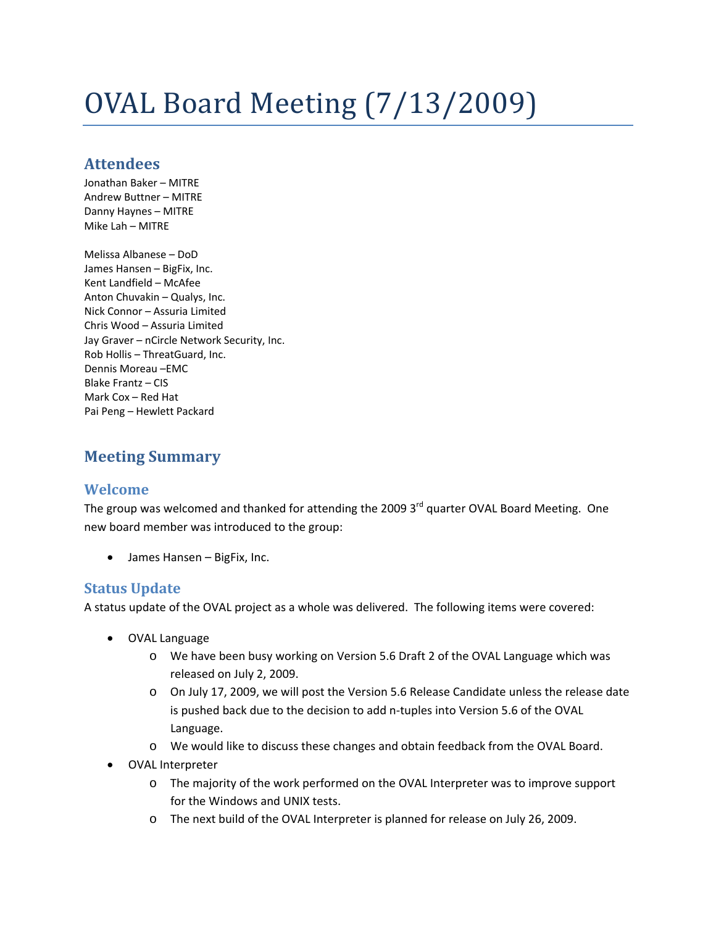# OVAL Board Meeting (7/13/2009)

# **Attendees**

Jonathan Baker – MITRE Andrew Buttner – MITRE Danny Haynes – MITRE Mike Lah – MITRE

Melissa Albanese – DoD James Hansen – BigFix, Inc. Kent Landfield – McAfee Anton Chuvakin – Qualys, Inc. Nick Connor – Assuria Limited Chris Wood – Assuria Limited Jay Graver – nCircle Network Security, Inc. Rob Hollis – ThreatGuard, Inc. Dennis Moreau –EMC Blake Frantz – CIS Mark Cox – Red Hat Pai Peng – Hewlett Packard

# **Meeting Summary**

# **Welcome**

The group was welcomed and thanked for attending the 2009 3<sup>rd</sup> quarter OVAL Board Meeting. One new board member was introduced to the group:

• James Hansen – BigFix, Inc.

# **Status Update**

A status update of the OVAL project as a whole was delivered. The following items were covered:

- OVAL Language
	- o We have been busy working on Version 5.6 Draft 2 of the OVAL Language which was released on July 2, 2009.
	- o On July 17, 2009, we will post the Version 5.6 Release Candidate unless the release date is pushed back due to the decision to add n‐tuples into Version 5.6 of the OVAL Language.
	- o We would like to discuss these changes and obtain feedback from the OVAL Board.
- OVAL Interpreter
	- o The majority of the work performed on the OVAL Interpreter was to improve support for the Windows and UNIX tests.
	- o The next build of the OVAL Interpreter is planned for release on July 26, 2009.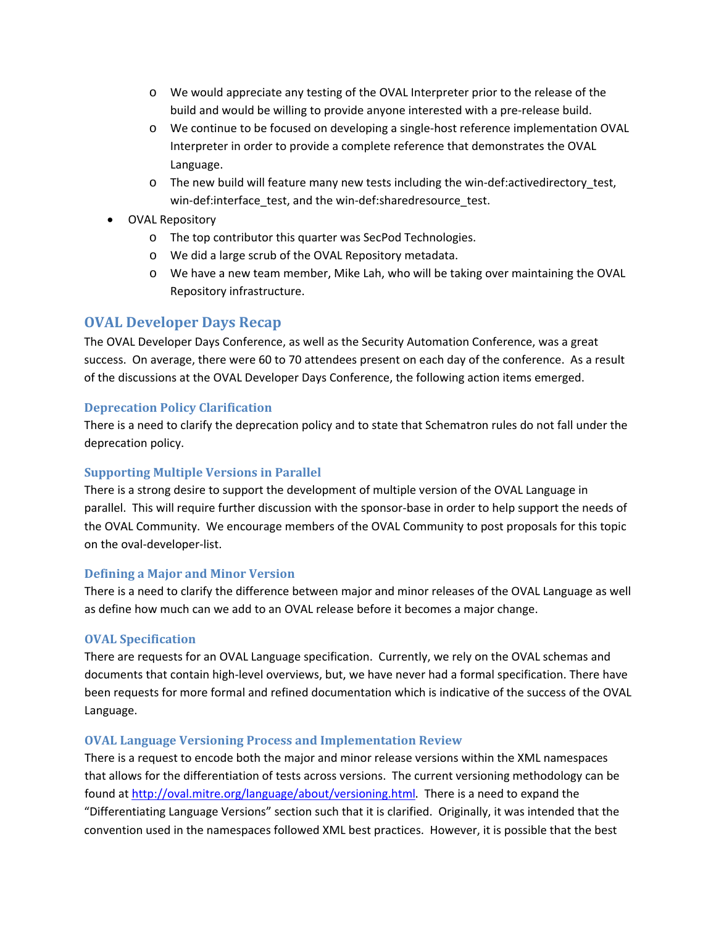- o We would appreciate any testing of the OVAL Interpreter prior to the release of the build and would be willing to provide anyone interested with a pre‐release build.
- o We continue to be focused on developing a single‐host reference implementation OVAL Interpreter in order to provide a complete reference that demonstrates the OVAL Language.
- o The new build will feature many new tests including the win‐def:activedirectory\_test, win-def:interface\_test, and the win-def:sharedresource\_test.
- OVAL Repository
	- o The top contributor this quarter was SecPod Technologies.
	- o We did a large scrub of the OVAL Repository metadata.
	- o We have a new team member, Mike Lah, who will be taking over maintaining the OVAL Repository infrastructure.

## **OVAL Developer Days Recap**

The OVAL Developer Days Conference, as well as the Security Automation Conference, was a great success. On average, there were 60 to 70 attendees present on each day of the conference. As a result of the discussions at the OVAL Developer Days Conference, the following action items emerged.

## **Deprecation Policy Clarification**

There is a need to clarify the deprecation policy and to state that Schematron rules do not fall under the deprecation policy.

## **Supporting Multiple Versions in Parallel**

There is a strong desire to support the development of multiple version of the OVAL Language in parallel. This will require further discussion with the sponsor-base in order to help support the needs of the OVAL Community. We encourage members of the OVAL Community to post proposals for this topic on the oval‐developer‐list.

## **Defining a Major and Minor Version**

There is a need to clarify the difference between major and minor releases of the OVAL Language as well as define how much can we add to an OVAL release before it becomes a major change.

## **OVAL Specification**

There are requests for an OVAL Language specification. Currently, we rely on the OVAL schemas and documents that contain high-level overviews, but, we have never had a formal specification. There have been requests for more formal and refined documentation which is indicative of the success of the OVAL Language.

## **OVAL Language Versioning Process and Implementation Review**

There is a request to encode both the major and minor release versions within the XML namespaces that allows for the differentiation of tests across versions. The current versioning methodology can be found at <http://oval.mitre.org/language/about/versioning.html>. There is a need to expand the "Differentiating Language Versions" section such that it is clarified. Originally, it was intended that the convention used in the namespaces followed XML best practices. However, it is possible that the best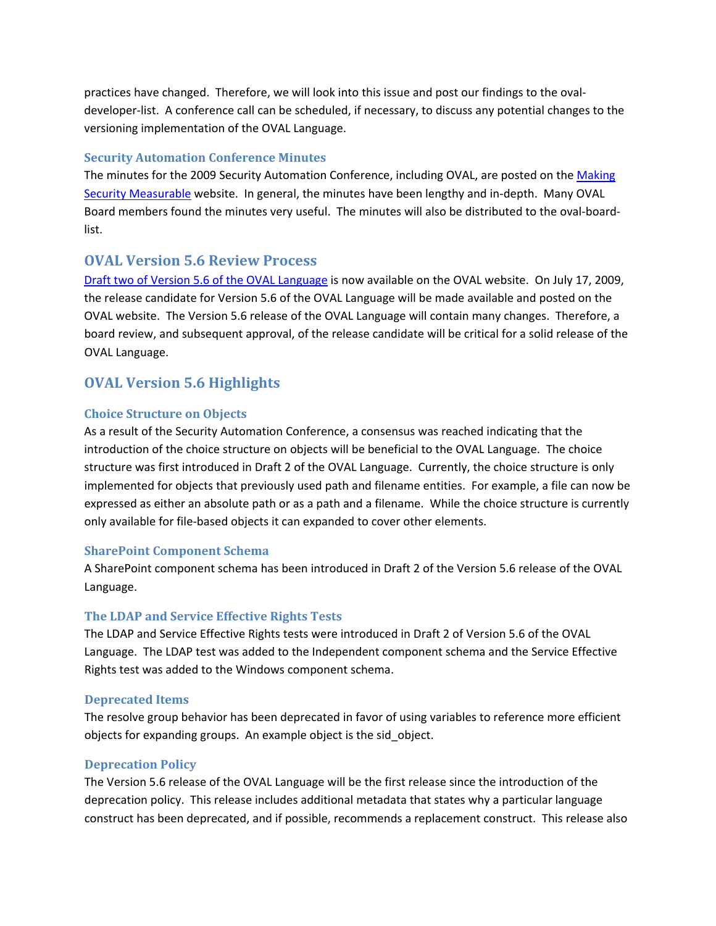practices have changed. Therefore, we will look into this issue and post our findings to the ovaldeveloper‐list. A conference call can be scheduled, if necessary, to discuss any potential changes to the versioning implementation of the OVAL Language.

## **Security Automation Conference Minutes**

The minutes for the 2009 Security Automation Conference, including OVAL, are posted on the [Making](http://measurablesecurity.mitre.org/participation/Security_Automation_Developer_Days_2009_Minutes.pdf) Security [Measurable](http://measurablesecurity.mitre.org/participation/Security_Automation_Developer_Days_2009_Minutes.pdf) website. In general, the minutes have been lengthy and in‐depth. Many OVAL Board members found the minutes very useful. The minutes will also be distributed to the oval‐board‐ list.

# **OVAL Version 5.6 Review Process**

Draft two of Version 5.6 of the OVAL [Language](http://oval.mitre.org/language/download/schema/version5.6/index.html) is now available on the OVAL website. On July 17, 2009, the release candidate for Version 5.6 of the OVAL Language will be made available and posted on the OVAL website. The Version 5.6 release of the OVAL Language will contain many changes. Therefore, a board review, and subsequent approval, of the release candidate will be critical for a solid release of the OVAL Language.

# **OVAL Version 5.6 Highlights**

## **Choice Structure on Objects**

As a result of the Security Automation Conference, a consensus was reached indicating that the introduction of the choice structure on objects will be beneficial to the OVAL Language. The choice structure was first introduced in Draft 2 of the OVAL Language. Currently, the choice structure is only implemented for objects that previously used path and filename entities. For example, a file can now be expressed as either an absolute path or as a path and a filename. While the choice structure is currently only available for file‐based objects it can expanded to cover other elements.

## **SharePoint Component Schema**

A SharePoint component schema has been introduced in Draft 2 of the Version 5.6 release of the OVAL Language.

## **The LDAP and Service Effective Rights Tests**

The LDAP and Service Effective Rights tests were introduced in Draft 2 of Version 5.6 of the OVAL Language. The LDAP test was added to the Independent component schema and the Service Effective Rights test was added to the Windows component schema.

## **Deprecated Items**

The resolve group behavior has been deprecated in favor of using variables to reference more efficient objects for expanding groups. An example object is the sid\_object.

## **Deprecation Policy**

The Version 5.6 release of the OVAL Language will be the first release since the introduction of the deprecation policy. This release includes additional metadata that states why a particular language construct has been deprecated, and if possible, recommends a replacement construct. This release also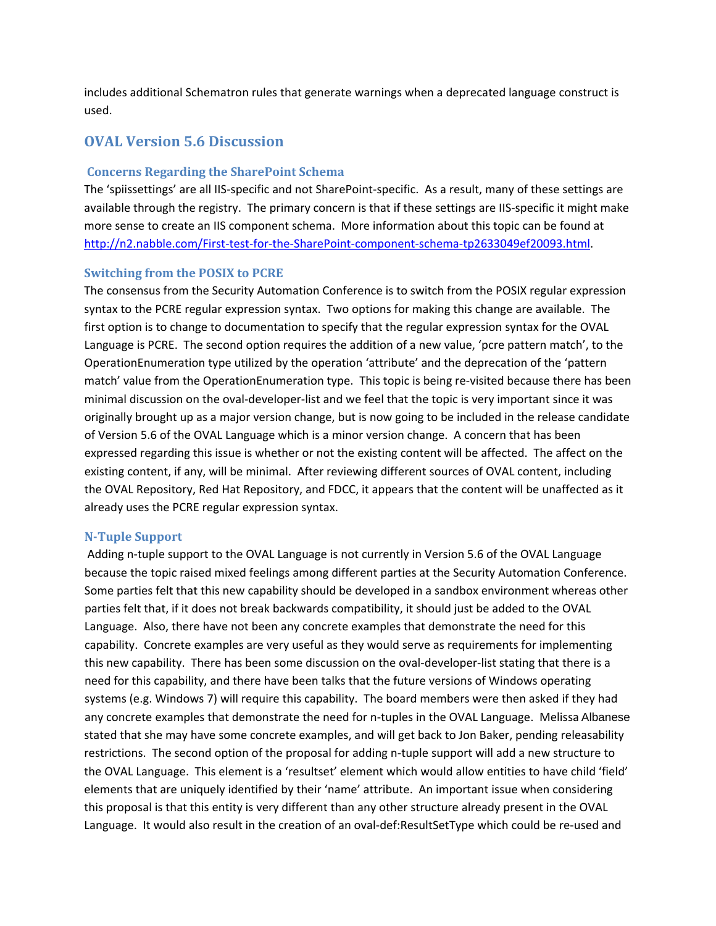includes additional Schematron rules that generate warnings when a deprecated language construct is used.

## **OVAL Version 5.6 Discussion**

#### **Concerns Regarding the SharePoint Schema**

The 'spiissettings' are all IIS‐specific and not SharePoint‐specific. As a result, many of these settings are available through the registry. The primary concern is that if these settings are IIS‐specific it might make more sense to create an IIS component schema. More information about this topic can be found at [http://n2.nabble.com/First](http://n2.nabble.com/First-test-for-the-SharePoint-component-schema-tp2633049ef20093.html)-test-for-the-SharePoint-component-schema-tp2633049ef20093.html.

#### **Switching from the POSIX to PCRE**

The consensus from the Security Automation Conference is to switch from the POSIX regular expression syntax to the PCRE regular expression syntax. Two options for making this change are available. The first option is to change to documentation to specify that the regular expression syntax for the OVAL Language is PCRE. The second option requires the addition of a new value, 'pcre pattern match', to the OperationEnumeration type utilized by the operation 'attribute' and the deprecation of the 'pattern match' value from the OperationEnumeration type. This topic is being re-visited because there has been minimal discussion on the oval‐developer‐list and we feel that the topic is very important since it was originally brought up as a major version change, but is now going to be included in the release candidate of Version 5.6 of the OVAL Language which is a minor version change. A concern that has been expressed regarding this issue is whether or not the existing content will be affected. The affect on the existing content, if any, will be minimal. After reviewing different sources of OVAL content, including the OVAL Repository, Red Hat Repository, and FDCC, it appears that the content will be unaffected as it already uses the PCRE regular expression syntax.

#### **NTuple Support**

Adding n-tuple support to the OVAL Language is not currently in Version 5.6 of the OVAL Language because the topic raised mixed feelings among different parties at the Security Automation Conference. Some parties felt that this new capability should be developed in a sandbox environment whereas other parties felt that, if it does not break backwards compatibility, it should just be added to the OVAL Language. Also, there have not been any concrete examples that demonstrate the need for this capability. Concrete examples are very useful as they would serve as requirements for implementing this new capability. There has been some discussion on the oval‐developer‐list stating that there is a need for this capability, and there have been talks that the future versions of Windows operating systems (e.g. Windows 7) will require this capability. The board members were then asked if they had any concrete examples that demonstrate the need for n-tuples in the OVAL Language. Melissa Albanese stated that she may have some concrete examples, and will get back to Jon Baker, pending releasability restrictions. The second option of the proposal for adding n-tuple support will add a new structure to the OVAL Language. This element is a 'resultset' element which would allow entities to have child 'field' elements that are uniquely identified by their 'name' attribute. An important issue when considering this proposal is that this entity is very different than any other structure already present in the OVAL Language. It would also result in the creation of an oval-def:ResultSetType which could be re-used and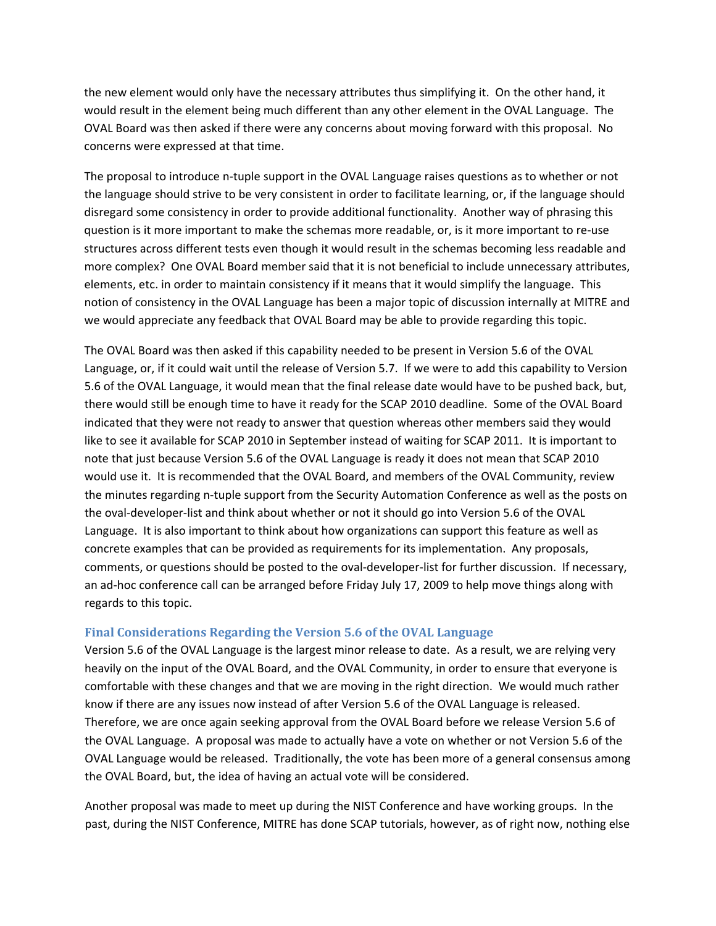the new element would only have the necessary attributes thus simplifying it. On the other hand, it would result in the element being much different than any other element in the OVAL Language. The OVAL Board was then asked if there were any concerns about moving forward with this proposal. No concerns were expressed at that time.

The proposal to introduce n-tuple support in the OVAL Language raises questions as to whether or not the language should strive to be very consistent in order to facilitate learning, or, if the language should disregard some consistency in order to provide additional functionality. Another way of phrasing this question is it more important to make the schemas more readable, or, is it more important to re‐use structures across different tests even though it would result in the schemas becoming less readable and more complex? One OVAL Board member said that it is not beneficial to include unnecessary attributes, elements, etc. in order to maintain consistency if it means that it would simplify the language. This notion of consistency in the OVAL Language has been a major topic of discussion internally at MITRE and we would appreciate any feedback that OVAL Board may be able to provide regarding this topic.

The OVAL Board was then asked if this capability needed to be present in Version 5.6 of the OVAL Language, or, if it could wait until the release of Version 5.7. If we were to add this capability to Version 5.6 of the OVAL Language, it would mean that the final release date would have to be pushed back, but, there would still be enough time to have it ready for the SCAP 2010 deadline. Some of the OVAL Board indicated that they were not ready to answer that question whereas other members said they would like to see it available for SCAP 2010 in September instead of waiting for SCAP 2011. It is important to note that just because Version 5.6 of the OVAL Language is ready it does not mean that SCAP 2010 would use it. It is recommended that the OVAL Board, and members of the OVAL Community, review the minutes regarding n‐tuple support from the Security Automation Conference as well as the posts on the oval‐developer‐list and think about whether or not it should go into Version 5.6 of the OVAL Language. It is also important to think about how organizations can support this feature as well as concrete examples that can be provided as requirements for its implementation. Any proposals, comments, or questions should be posted to the oval‐developer‐list for further discussion. If necessary, an ad-hoc conference call can be arranged before Friday July 17, 2009 to help move things along with regards to this topic.

## **Final Considerations Regarding the Version 5.6 of the OVAL Language**

Version 5.6 of the OVAL Language is the largest minor release to date. As a result, we are relying very heavily on the input of the OVAL Board, and the OVAL Community, in order to ensure that everyone is comfortable with these changes and that we are moving in the right direction. We would much rather know if there are any issues now instead of after Version 5.6 of the OVAL Language is released. Therefore, we are once again seeking approval from the OVAL Board before we release Version 5.6 of the OVAL Language. A proposal was made to actually have a vote on whether or not Version 5.6 of the OVAL Language would be released. Traditionally, the vote has been more of a general consensus among the OVAL Board, but, the idea of having an actual vote will be considered.

Another proposal was made to meet up during the NIST Conference and have working groups. In the past, during the NIST Conference, MITRE has done SCAP tutorials, however, as of right now, nothing else